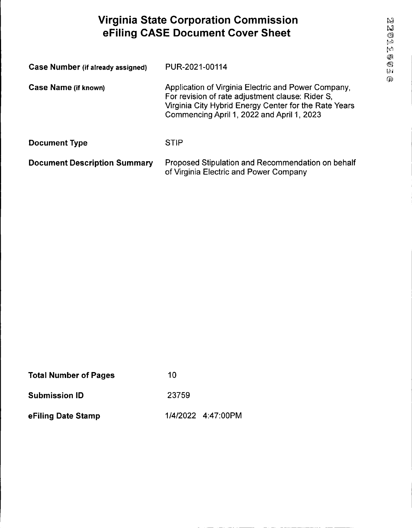# **Virginia State Corporation Commission eFiling CASE Document Cover Sheet**

| Case Number (if already assigned)   | PUR-2021-00114                                                                                                                                                                                                 |
|-------------------------------------|----------------------------------------------------------------------------------------------------------------------------------------------------------------------------------------------------------------|
| Case Name (if known)                | Application of Virginia Electric and Power Company,<br>For revision of rate adjustment clause: Rider S,<br>Virginia City Hybrid Energy Center for the Rate Years<br>Commencing April 1, 2022 and April 1, 2023 |
| <b>Document Type</b>                | <b>STIP</b>                                                                                                                                                                                                    |
| <b>Document Description Summary</b> | Proposed Stipulation and Recommendation on behalf<br>of Virginia Electric and Power Company                                                                                                                    |

| <b>Total Number of Pages</b> | 10    |                    |
|------------------------------|-------|--------------------|
| <b>Submission ID</b>         | 23759 |                    |
| eFiling Date Stamp           |       | 1/4/2022 4:47:00PM |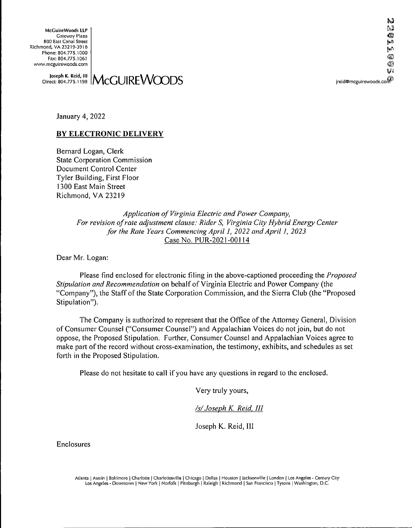**McGuireWoods LLP** Gateway Plaza 800 East Canal Street Richmond, VA 23219-3916 Phone: 804.77S.1000 Fax: 804.775.1061 www.mcguirewoods.com

Joseph K. Reid, III**I**  $\mathsf{MccUIREV}$ Direct: 804.775.1198

January 4, 2022

# **BY ELECTRONIC DELIVERY**

Bernard Logan, Clerk State Corporation Commission Document Control Center Tyler Building, First Floor 1300 East Main Street Richmond, VA 23219

> *Application ofVirginia Electric and Power Company, For revision ofrate adjustment clause: Rider S, Virginia City Hybrid Energy Center for the Rate Years CommencingApril 1, 2022 andApril 1, 2023* Case No. PUR-2021-00114

Dear Mr. Logan:

Please find enclosed for electronic filing in the above-captioned proceeding the *Proposed Stipulation and Recommendation* on behalf of Virginia Electric and Power Company (the "Company"), the Staff ofthe State Corporation Commission, and the Sierra Club (the "Proposed Stipulation").

The Company is authorized to represent that the Office of the Attorney General, Division ofConsumer Counsel ("Consumer Counsel") and Appalachian Voices do not join, but do not oppose, the Proposed Stipulation. Further, Consumer Counsel and Appalachian Voices agree to make part of the record without cross-examination, the testimony, exhibits, and schedules as set forth in the Proposed Stipulation.

Please do not hesitate to call if you have any questions in regard to the enclosed.

Very truly yours,

*/s/Joseph K. Reid, III*

Joseph K. Reid, III

Enclosures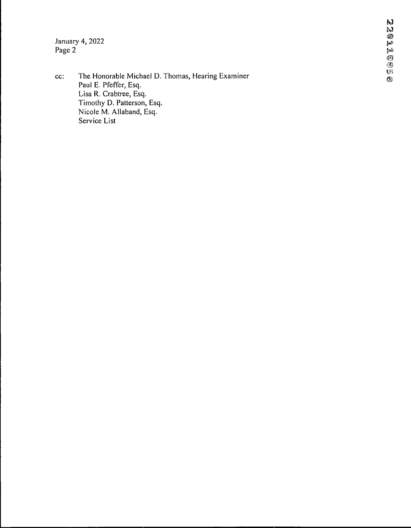January 4, 2022 Page 2

cc: The Honorable Michael D. Thomas, Hearing Examiner Paul E. Pfeffer, Esq. Lisa R. Crabtree, Esq. Timothy D. Patterson, Esq. Nicole M. Allaband, Esq. Service List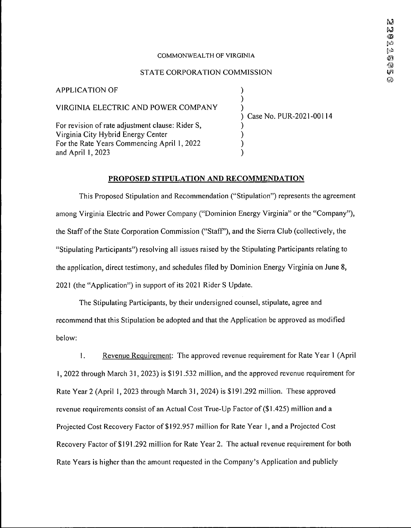#### COMMONWEALTH OF VIRGINIA

#### STATE CORPORATION COMMISSION

) ) )

> ) ) ) )

VIRGINIA ELECTRIC AND POWER COMPANY

For revision of rate adjustment clause: Rider S, Virginia City Hybrid Energy Center For the Rate Years Commencing April 1, 2022 and April 1,2023

APPLICATION OF

) Case No. PUR-2021-00114

#### **PROPOSED STIPULATION AND RECOMMENDATION**

This Proposed Stipulation and Recommendation ("Stipulation") represents the agreement among Virginia Electric and Power Company ("Dominion Energy Virginia" or the "Company"), the Staff of the State Corporation Commission ("Staff"), and the Sierra Club (collectively, the "Stipulating Participants") resolving all issues raised by the Stipulating Participants relating to the application, direct testimony, and schedules filed by Dominion Energy Virginia on June 8, 2021 (the "Application") in support of its 2021 Rider S Update.

The Stipulating Participants, by their undersigned counsel, stipulate, agree and recommend that this Stipulation be adopted and that the Application be approved as modified below:

1. Revenue Requirement: The approved revenue requirement for Rate Year <sup>1</sup> (April I, 2022 through March 31,2023) is \$191,532 million, and the approved revenue requirement for Rate Year 2 (April 1, 2023 through March 31,2024) is \$191.292 million. These approved revenue requirements consist of an Actual Cost True-Up Factor of(\$1.425) million and a Projected Cost Recovery Factor of \$192,957 million for Rate Year 1, and a Projected Cost Recovery Factor of \$191.292 million for Rate Year 2. The actual revenue requirement for both Rate Years is higher than the amount requested in the Company's Application and publicly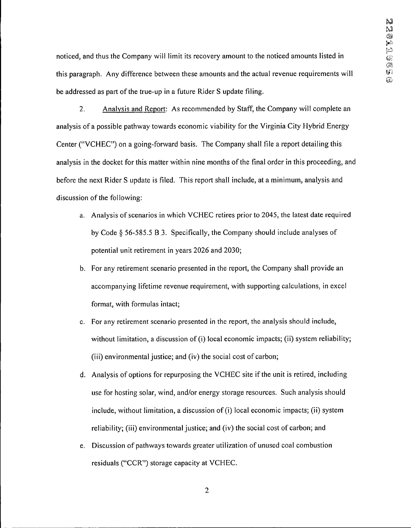noticed, and thus the Company will limit its recovery amount to the noticed amounts listed in this paragraph. Any difference between these amounts and the actual revenue requirements will be addressed as part of the true-up in a future Rider S update filing.

2. Analysis and Report: As recommended by Staff, the Company will complete an analysis of a possible pathway towards economic viability for the Virginia City Hybrid Energy Center ("VCHEC") on a going-forward basis. The Company shall file a report detailing this analysis in the docket for this matter within nine months of the final order in this proceeding, and before the next Rider S update is filed. This report shall include, at a minimum, analysis and discussion of the following:

- a. Analysis of scenarios in which VCHEC retires prior to 2045, the latest date required by Code § 56-585.5 B 3. Specifically, the Company should include analyses of potential unit retirement in years 2026 and 2030;
- b. For any retirement scenario presented in the report, the Company shall provide an accompanying lifetime revenue requirement, with supporting calculations, in excel format, with formulas intact;
- c. For any retirement scenario presented in the report, the analysis should include, without limitation, a discussion of (i) local economic impacts; (ii) system reliability; (iii) environmental justice; and (iv) the social cost of carbon;
- d. Analysis of options for repurposing the VCHEC site if the unit is retired, including use for hosting solar, wind, and/or energy storage resources. Such analysis should include, without limitation, a discussion of (i) local economic impacts; (ii) system reliability; (iii) environmental justice; and (iv) the social cost of carbon; and
- e. Discussion of pathways towards greater utilization of unused coal combustion residuals ("CCR") storage capacity at VCHEC.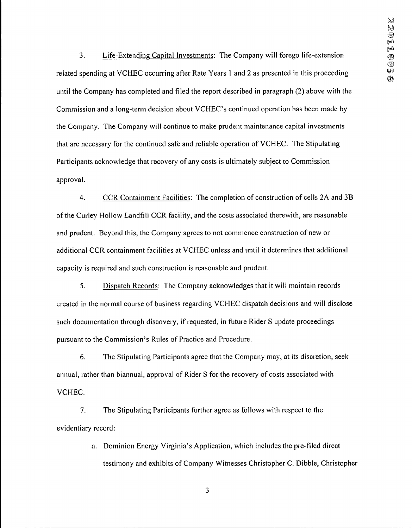3. Life-Extending Capital Investments: The Company will forego life-extension related spending at VCHEC occurring after Rate Years <sup>1</sup> and 2 as presented in this proceeding until the Company has completed and filed the report described in paragraph (2) above with the Commission and a long-term decision about VCHEC's continued operation has been made by the Company. The Company will continue to make prudent maintenance capital investments that are necessary for the continued safe and reliable operation of VCHEC. The Stipulating Participants acknowledge that recovery of any costs is ultimately subject to Commission approval.

4. CCR Containment Facilities: The completion of construction of cells 2A and 3B ofthe Curley Hollow Landfill CCR facility, and the costs associated therewith, are reasonable and prudent. Beyond this, the Company agrees to not commence construction of new or additional CCR containment facilities at VCHEC unless and until it determines that additional capacity is required and such construction is reasonable and prudent.

5. Dispatch Records: The Company acknowledges that it will maintain records created in the normal course of business regarding VCHEC dispatch decisions and will disclose such documentation through discovery, ifrequested, in future Rider S update proceedings pursuant to the Commission's Rules of Practice and Procedure.

6. The Stipulating Participants agree that the Company may, at its discretion, seek annual, rather than biannual, approval of Rider S for the recovery of costs associated with VCHEC.

7. The Stipulating Participants further agree as follows with respect to the evidentiary record:

> a. Dominion Energy Virginia's Application, which includes the pre-filed direct testimony and exhibits of Company Witnesses Christopher C. Dibble, Christopher

> > 3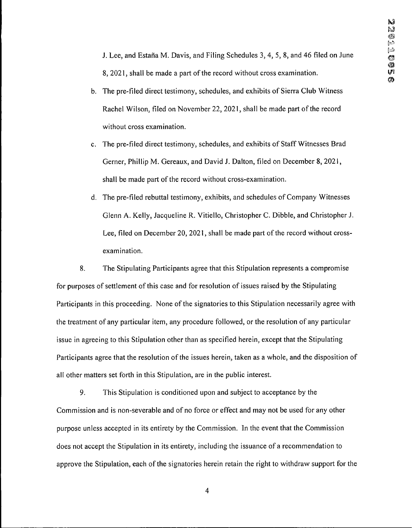J. Lee, and Estafia M. Davis, and Filing Schedules 3, 4, 5, 8, and 46 filed on June 8, 2021, shall be made a part of the record without cross examination.

- b. The pre-filed direct testimony, schedules, and exhibits of Sierra Club Witness Rachel Wilson, filed on November 22, 2021, shall be made part of the record without cross examination.
- c. The pre-filed direct testimony, schedules, and exhibits of Staff Witnesses Brad Gerner, Phillip M. Gereaux, and David J. Dalton, filed on December 8, 2021, shall be made part of the record without cross-examination.
- d. The pre-filed rebuttal testimony, exhibits, and schedules of Company Witnesses Glenn A. Kelly, Jacqueline R. Vitiello, Christopher C. Dibble, and Christopher J. Lee, filed on December 20, 2021, shall be made part of the record without crossexamination.

8. The Stipulating Participants agree that this Stipulation represents a compromise for purposes of settlement of this case and for resolution of issues raised by the Stipulating Participants in this proceeding. None of the signatories to this Stipulation necessarily agree with the treatment of any particular item, any procedure followed, or the resolution of any particular issue in agreeing to this Stipulation other than as specified herein, except that the Stipulating Participants agree that the resolution of the issues herein, taken as a whole, and the disposition of all other matters set forth in this Stipulation, are in the public interest.

9. This Stipulation is conditioned upon and subject to acceptance by the Commission and is non-severable and of no force or effect and may not be used for any other purpose unless accepted in its entirety by the Commission. In the event that the Commission does not accept the Stipulation in its entirety, including the issuance of a recommendation to approve the Stipulation, each of the signatories herein retain the right to withdraw support for the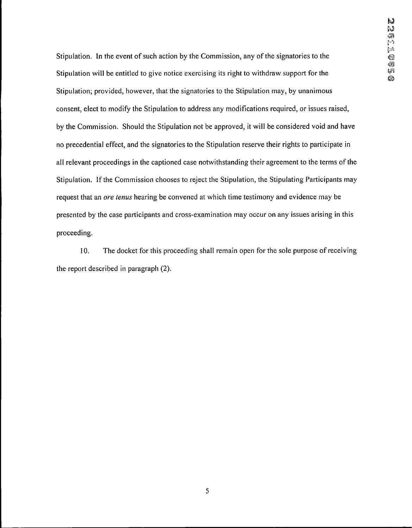Stipulation. In the event of such action by the Commission, any of the signatories to the Stipulation will be entitled to give notice exercising its right to withdraw support for the Stipulation; provided, however, that the signatories to the Stipulation may, by unanimous consent, elect to modify the Stipulation to address any modifications required, or issues raised. by the Commission. Should the Stipulation not be approved, it will be considered void and have no precedential effect, and the signatories to the Stipulation reserve their rights to participate in all relevant proceedings in the captioned case notwithstanding their agreement to the terms of the Stipulation. If the Commission chooses to reject the Stipulation, the Stipulating Participants may request that an *ore tenus* hearing be convened at which time testimony and evidence may be presented by the case participants and cross-examination may occur on any issues arising in this proceeding.

10. The docket for this proceeding shall remain open for the sole purpose of receiving the report described in paragraph (2).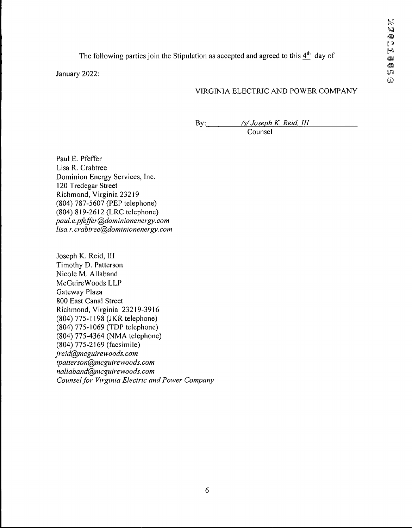The following parties join the Stipulation as accepted and agreed to this  $4<sup>th</sup>$  day of

January 2022:

# VIRGINIA ELECTRIC AND POWER COMPANY

By: */s/Joseph K. Reid, III* Counsel

Paul E. Pfeffer Lisa R. Crabtree Dominion Energy Services, Inc. 120 Tredegar Street Richmond, Virginia 23219 (804) 787-5607 (PEP telephone) (804) 819-2612 (LRC telephone) *paul.e.pfeffer@dominionenergy.com lisa.r. crabtree@dominionenergy. com*

Joseph K. Reid, III Timothy D. Patterson Nicole M. Allaband McGuireWoods LLP Gateway Plaza 800 East Canal Street Richmond, Virginia 23219-3916 (804) 775-1198 (JKR telephone) (804) 775-1069 (TDP telephone) (804) 775-4364 (NMA telephone) (804) 775-2169 (facsimile) *jreid@mcguirewoods.com tpalterson@mcguirewoods.com nallaband@mcguirewoods.com Counselfor Virginia Electric and Power Company*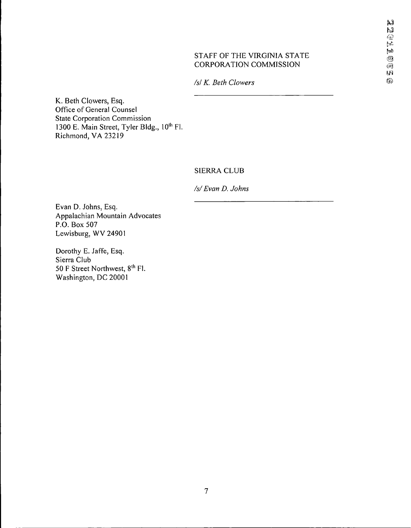### STAFF OF THE VIRGINIA STATE CORPORATION COMMISSION

*/s/ K. Beth Glowers*

K. Beth Glowers, Esq. Office of General Counsel State Corporation Commission 1300 E. Main Street, Tyler Bldg., 10th Fl. Richmond, VA 23219

# SIERRA CLUB

*/s/Evan D. Johns*

Evan D. Johns, Esq. Appalachian Mountain Advocates P.O. Box 507 Lewisburg, WV 24901

Dorothy E. Jaffe, Esq. Sierra Club 50 F Street Northwest, 8<sup>th</sup> Fl. Washington, DC 20001